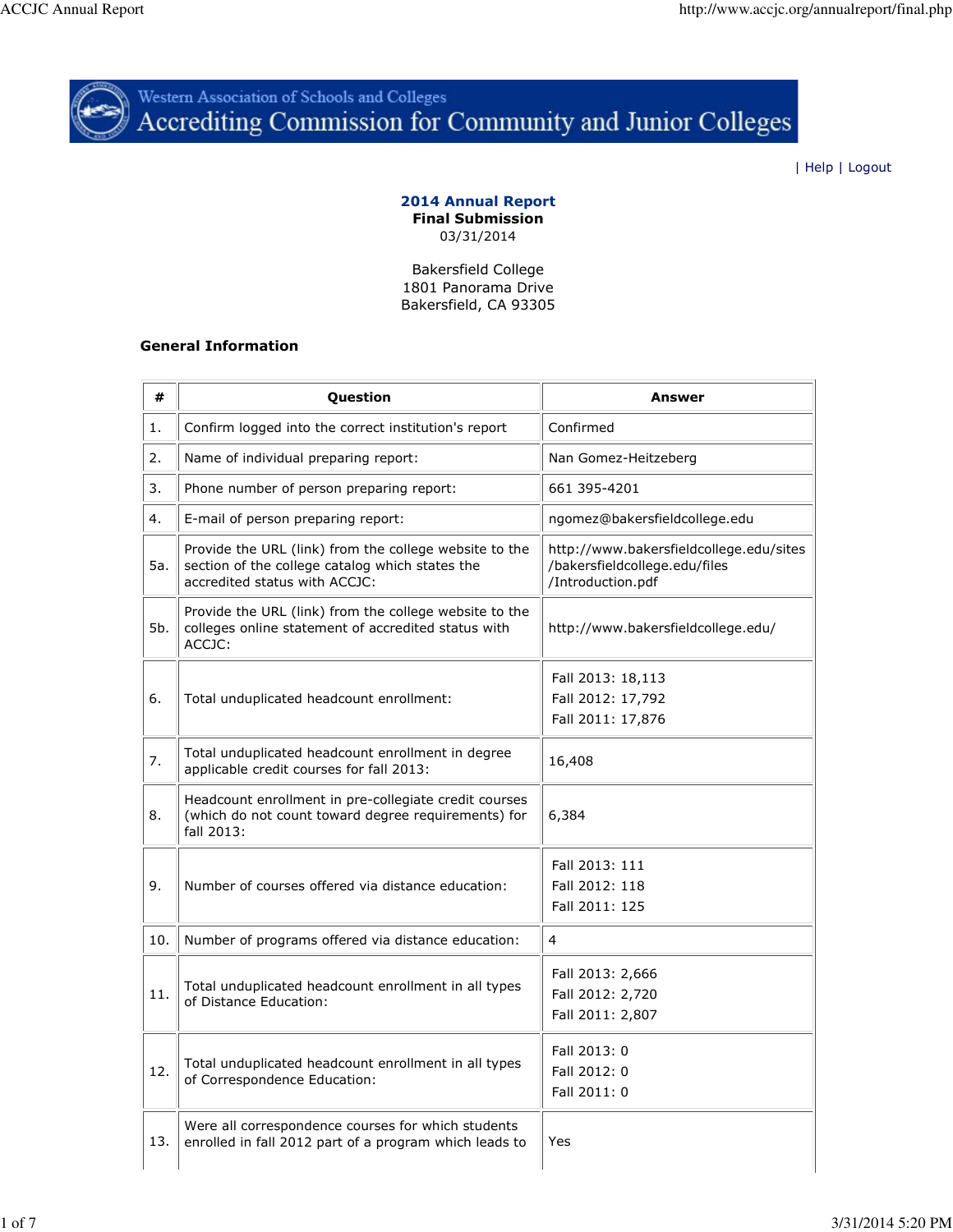

# Western Association of Schools and Colleges<br>Accrediting Commission for Community and Junior Colleges

| Help | Logout

#### 2014 Annual Report Final Submission 03/31/2014

Bakersfield College 1801 Panorama Drive Bakersfield, CA 93305

## General Information

| #   | Question                                                                                                                                   | Answer                                                                                        |
|-----|--------------------------------------------------------------------------------------------------------------------------------------------|-----------------------------------------------------------------------------------------------|
| 1.  | Confirm logged into the correct institution's report                                                                                       | Confirmed                                                                                     |
| 2.  | Name of individual preparing report:                                                                                                       | Nan Gomez-Heitzeberg                                                                          |
| 3.  | Phone number of person preparing report:                                                                                                   | 661 395-4201                                                                                  |
| 4.  | E-mail of person preparing report:                                                                                                         | ngomez@bakersfieldcollege.edu                                                                 |
| 5a. | Provide the URL (link) from the college website to the<br>section of the college catalog which states the<br>accredited status with ACCJC: | http://www.bakersfieldcollege.edu/sites<br>/bakersfieldcollege.edu/files<br>/Introduction.pdf |
| 5b. | Provide the URL (link) from the college website to the<br>colleges online statement of accredited status with<br>ACCJC:                    | http://www.bakersfieldcollege.edu/                                                            |
| 6.  | Total unduplicated headcount enrollment:                                                                                                   | Fall 2013: 18,113<br>Fall 2012: 17,792<br>Fall 2011: 17,876                                   |
| 7.  | Total unduplicated headcount enrollment in degree<br>applicable credit courses for fall 2013:                                              | 16,408                                                                                        |
| 8.  | Headcount enrollment in pre-collegiate credit courses<br>(which do not count toward degree requirements) for<br>fall 2013:                 | 6,384                                                                                         |
| 9.  | Number of courses offered via distance education:                                                                                          | Fall 2013: 111<br>Fall 2012: 118<br>Fall 2011: 125                                            |
| 10. | Number of programs offered via distance education:                                                                                         | 4                                                                                             |
| 11. | Total unduplicated headcount enrollment in all types<br>of Distance Education:                                                             | Fall 2013: 2,666<br>Fall 2012: 2,720<br>Fall 2011: 2,807                                      |
| 12. | Total unduplicated headcount enrollment in all types<br>of Correspondence Education:                                                       | Fall 2013: 0<br>Fall 2012: 0<br>Fall 2011: 0                                                  |
| 13. | Were all correspondence courses for which students<br>enrolled in fall 2012 part of a program which leads to                               | Yes                                                                                           |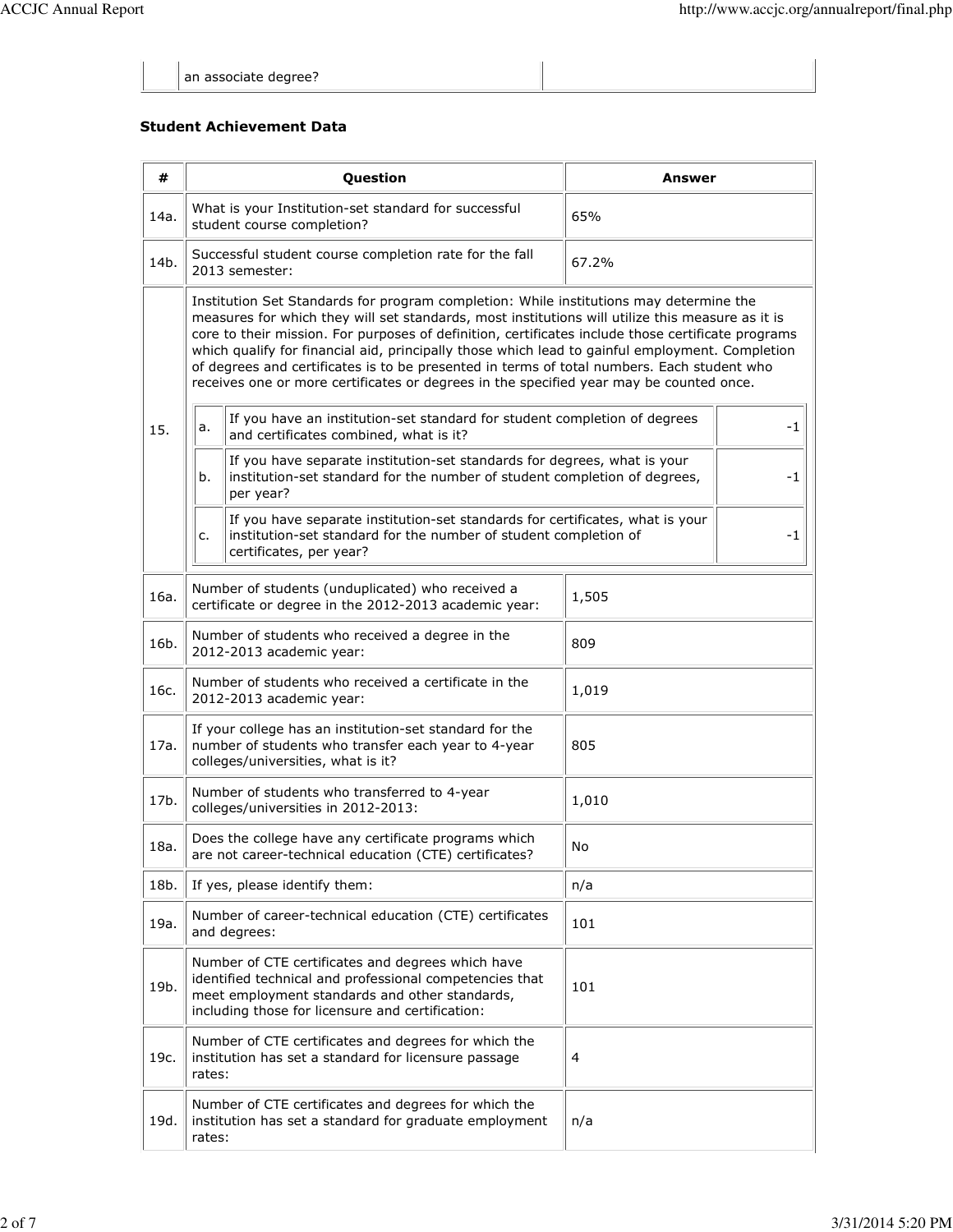an associate degree?

# Student Achievement Data

| #    | <b>Question</b>                                                                                                                                      |                                                                                                                                                                                                                                                                                                                                                                                                                                                                                                                                                                                              | Answer |      |  |
|------|------------------------------------------------------------------------------------------------------------------------------------------------------|----------------------------------------------------------------------------------------------------------------------------------------------------------------------------------------------------------------------------------------------------------------------------------------------------------------------------------------------------------------------------------------------------------------------------------------------------------------------------------------------------------------------------------------------------------------------------------------------|--------|------|--|
| 14a. | What is your Institution-set standard for successful<br>student course completion?                                                                   |                                                                                                                                                                                                                                                                                                                                                                                                                                                                                                                                                                                              | 65%    |      |  |
| 14b. | Successful student course completion rate for the fall<br>2013 semester:                                                                             |                                                                                                                                                                                                                                                                                                                                                                                                                                                                                                                                                                                              | 67.2%  |      |  |
|      |                                                                                                                                                      | Institution Set Standards for program completion: While institutions may determine the<br>measures for which they will set standards, most institutions will utilize this measure as it is<br>core to their mission. For purposes of definition, certificates include those certificate programs<br>which qualify for financial aid, principally those which lead to gainful employment. Completion<br>of degrees and certificates is to be presented in terms of total numbers. Each student who<br>receives one or more certificates or degrees in the specified year may be counted once. |        |      |  |
| 15.  | If you have an institution-set standard for student completion of degrees<br>a.<br>and certificates combined, what is it?                            |                                                                                                                                                                                                                                                                                                                                                                                                                                                                                                                                                                                              |        |      |  |
|      | b.                                                                                                                                                   | If you have separate institution-set standards for degrees, what is your<br>institution-set standard for the number of student completion of degrees,<br>$-1$<br>per year?                                                                                                                                                                                                                                                                                                                                                                                                                   |        |      |  |
|      | c.                                                                                                                                                   | If you have separate institution-set standards for certificates, what is your<br>institution-set standard for the number of student completion of<br>certificates, per year?                                                                                                                                                                                                                                                                                                                                                                                                                 |        | $-1$ |  |
| 16a. | Number of students (unduplicated) who received a<br>certificate or degree in the 2012-2013 academic year:                                            |                                                                                                                                                                                                                                                                                                                                                                                                                                                                                                                                                                                              | 1,505  |      |  |
| 16b. | Number of students who received a degree in the<br>2012-2013 academic year:                                                                          |                                                                                                                                                                                                                                                                                                                                                                                                                                                                                                                                                                                              | 809    |      |  |
| 16c. | Number of students who received a certificate in the<br>2012-2013 academic year:                                                                     |                                                                                                                                                                                                                                                                                                                                                                                                                                                                                                                                                                                              | 1,019  |      |  |
| 17a. | If your college has an institution-set standard for the<br>number of students who transfer each year to 4-year<br>colleges/universities, what is it? |                                                                                                                                                                                                                                                                                                                                                                                                                                                                                                                                                                                              | 805    |      |  |
| 17b. | Number of students who transferred to 4-year<br>colleges/universities in 2012-2013:                                                                  |                                                                                                                                                                                                                                                                                                                                                                                                                                                                                                                                                                                              | 1,010  |      |  |
| 18a. | Does the college have any certificate programs which<br>are not career-technical education (CTE) certificates?                                       |                                                                                                                                                                                                                                                                                                                                                                                                                                                                                                                                                                                              | No     |      |  |
| 18b. | If yes, please identify them:                                                                                                                        |                                                                                                                                                                                                                                                                                                                                                                                                                                                                                                                                                                                              | n/a    |      |  |
| 19a. | Number of career-technical education (CTE) certificates<br>and degrees:                                                                              |                                                                                                                                                                                                                                                                                                                                                                                                                                                                                                                                                                                              | 101    |      |  |
| 19b. |                                                                                                                                                      | Number of CTE certificates and degrees which have<br>identified technical and professional competencies that<br>meet employment standards and other standards,<br>including those for licensure and certification:                                                                                                                                                                                                                                                                                                                                                                           | 101    |      |  |
| 19c. | rates:                                                                                                                                               | Number of CTE certificates and degrees for which the<br>institution has set a standard for licensure passage                                                                                                                                                                                                                                                                                                                                                                                                                                                                                 | 4      |      |  |
| 19d. | rates:                                                                                                                                               | Number of CTE certificates and degrees for which the<br>institution has set a standard for graduate employment                                                                                                                                                                                                                                                                                                                                                                                                                                                                               | n/a    |      |  |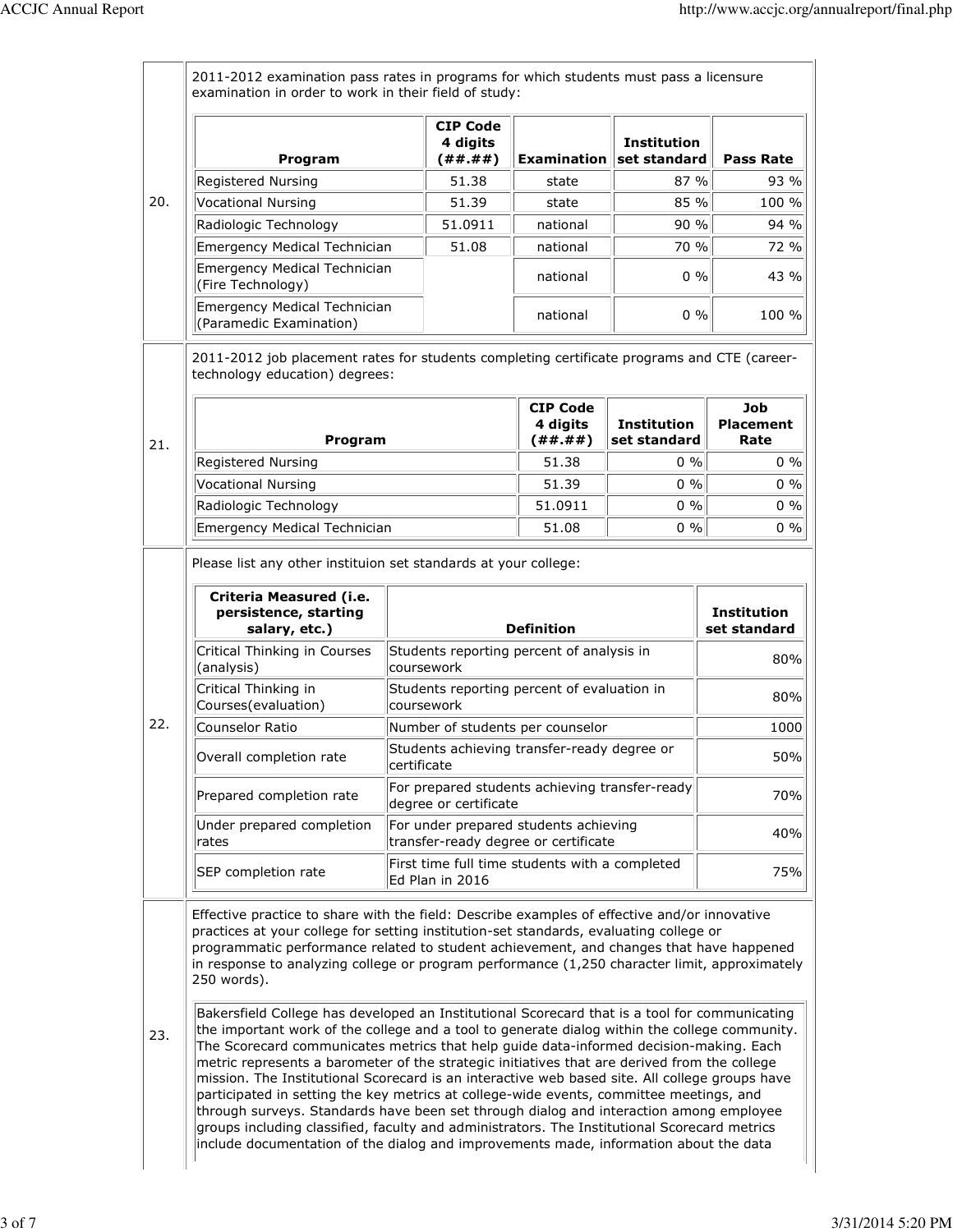|     | Program                                                                                                                                                                                                                                                                                                                                                                                                                                                                                                                                                                                                                                                                                                                                                                                                                                                                                                                                                                                                                                                                                                                                                                              | <b>CIP Code</b><br>4 digits<br>( # # ##)                                              | <b>Examination</b>                     | <b>Institution</b><br>set standard | <b>Pass Rate</b>                |
|-----|--------------------------------------------------------------------------------------------------------------------------------------------------------------------------------------------------------------------------------------------------------------------------------------------------------------------------------------------------------------------------------------------------------------------------------------------------------------------------------------------------------------------------------------------------------------------------------------------------------------------------------------------------------------------------------------------------------------------------------------------------------------------------------------------------------------------------------------------------------------------------------------------------------------------------------------------------------------------------------------------------------------------------------------------------------------------------------------------------------------------------------------------------------------------------------------|---------------------------------------------------------------------------------------|----------------------------------------|------------------------------------|---------------------------------|
|     | Registered Nursing                                                                                                                                                                                                                                                                                                                                                                                                                                                                                                                                                                                                                                                                                                                                                                                                                                                                                                                                                                                                                                                                                                                                                                   | 51.38                                                                                 | state                                  | 87 %                               | 93 %                            |
| 20. | Vocational Nursing                                                                                                                                                                                                                                                                                                                                                                                                                                                                                                                                                                                                                                                                                                                                                                                                                                                                                                                                                                                                                                                                                                                                                                   | 51.39                                                                                 | state                                  | 85 %                               | 100 %                           |
|     | Radiologic Technology                                                                                                                                                                                                                                                                                                                                                                                                                                                                                                                                                                                                                                                                                                                                                                                                                                                                                                                                                                                                                                                                                                                                                                | 51.0911                                                                               | national                               | 90%                                | 94 %                            |
|     | Emergency Medical Technician                                                                                                                                                                                                                                                                                                                                                                                                                                                                                                                                                                                                                                                                                                                                                                                                                                                                                                                                                                                                                                                                                                                                                         | 51.08                                                                                 | national                               | 70 %                               | 72 %                            |
|     | Emergency Medical Technician<br>(Fire Technology)                                                                                                                                                                                                                                                                                                                                                                                                                                                                                                                                                                                                                                                                                                                                                                                                                                                                                                                                                                                                                                                                                                                                    |                                                                                       | national                               | $0\%$                              | 43 %                            |
|     | Emergency Medical Technician<br>(Paramedic Examination)                                                                                                                                                                                                                                                                                                                                                                                                                                                                                                                                                                                                                                                                                                                                                                                                                                                                                                                                                                                                                                                                                                                              |                                                                                       | national                               | $0\%$                              | 100 %                           |
|     | 2011-2012 job placement rates for students completing certificate programs and CTE (career-<br>technology education) degrees:                                                                                                                                                                                                                                                                                                                                                                                                                                                                                                                                                                                                                                                                                                                                                                                                                                                                                                                                                                                                                                                        |                                                                                       |                                        |                                    |                                 |
| 21. | Program                                                                                                                                                                                                                                                                                                                                                                                                                                                                                                                                                                                                                                                                                                                                                                                                                                                                                                                                                                                                                                                                                                                                                                              |                                                                                       | <b>CIP Code</b><br>4 digits<br>(##.##) | <b>Institution</b><br>set standard | Job<br><b>Placement</b><br>Rate |
|     | Registered Nursing                                                                                                                                                                                                                                                                                                                                                                                                                                                                                                                                                                                                                                                                                                                                                                                                                                                                                                                                                                                                                                                                                                                                                                   |                                                                                       | 51.38                                  | 0, 9/0                             | $0\%$                           |
|     | Vocational Nursing                                                                                                                                                                                                                                                                                                                                                                                                                                                                                                                                                                                                                                                                                                                                                                                                                                                                                                                                                                                                                                                                                                                                                                   |                                                                                       | 51.39                                  | $0\%$                              | $0\%$                           |
|     | Radiologic Technology                                                                                                                                                                                                                                                                                                                                                                                                                                                                                                                                                                                                                                                                                                                                                                                                                                                                                                                                                                                                                                                                                                                                                                | 51.0911                                                                               |                                        | 0%                                 | $0\%$                           |
|     | Emergency Medical Technician                                                                                                                                                                                                                                                                                                                                                                                                                                                                                                                                                                                                                                                                                                                                                                                                                                                                                                                                                                                                                                                                                                                                                         |                                                                                       | 51.08                                  | 0%                                 | $0\%$                           |
|     | Criteria Measured (i.e.<br>persistence, starting                                                                                                                                                                                                                                                                                                                                                                                                                                                                                                                                                                                                                                                                                                                                                                                                                                                                                                                                                                                                                                                                                                                                     | Please list any other instituion set standards at your college:<br><b>Institution</b> |                                        |                                    |                                 |
|     | salary, etc.)                                                                                                                                                                                                                                                                                                                                                                                                                                                                                                                                                                                                                                                                                                                                                                                                                                                                                                                                                                                                                                                                                                                                                                        | <b>Definition</b>                                                                     |                                        |                                    | set standard                    |
|     | Critical Thinking in Courses<br>(analysis)                                                                                                                                                                                                                                                                                                                                                                                                                                                                                                                                                                                                                                                                                                                                                                                                                                                                                                                                                                                                                                                                                                                                           | Students reporting percent of analysis in<br>lcoursework                              |                                        |                                    | 80%                             |
|     | Critical Thinking in<br>Courses (evaluation)                                                                                                                                                                                                                                                                                                                                                                                                                                                                                                                                                                                                                                                                                                                                                                                                                                                                                                                                                                                                                                                                                                                                         | Students reporting percent of evaluation in<br>lcoursework                            |                                        |                                    | 80%                             |
| 22. | Counselor Ratio                                                                                                                                                                                                                                                                                                                                                                                                                                                                                                                                                                                                                                                                                                                                                                                                                                                                                                                                                                                                                                                                                                                                                                      | Number of students per counselor                                                      |                                        |                                    | 1000                            |
|     | Overall completion rate                                                                                                                                                                                                                                                                                                                                                                                                                                                                                                                                                                                                                                                                                                                                                                                                                                                                                                                                                                                                                                                                                                                                                              | Students achieving transfer-ready degree or<br>certificate                            |                                        |                                    | 50%                             |
|     | Prepared completion rate                                                                                                                                                                                                                                                                                                                                                                                                                                                                                                                                                                                                                                                                                                                                                                                                                                                                                                                                                                                                                                                                                                                                                             | For prepared students achieving transfer-ready<br>degree or certificate               |                                        |                                    | 70%                             |
|     | Under prepared completion<br> rates                                                                                                                                                                                                                                                                                                                                                                                                                                                                                                                                                                                                                                                                                                                                                                                                                                                                                                                                                                                                                                                                                                                                                  | For under prepared students achieving<br>transfer-ready degree or certificate         |                                        | 40%                                |                                 |
|     | SEP completion rate                                                                                                                                                                                                                                                                                                                                                                                                                                                                                                                                                                                                                                                                                                                                                                                                                                                                                                                                                                                                                                                                                                                                                                  | First time full time students with a completed<br>Ed Plan in 2016                     |                                        |                                    | 75%                             |
| 23. | Effective practice to share with the field: Describe examples of effective and/or innovative<br>practices at your college for setting institution-set standards, evaluating college or<br>programmatic performance related to student achievement, and changes that have happened<br>in response to analyzing college or program performance (1,250 character limit, approximately<br>250 words).<br>Bakersfield College has developed an Institutional Scorecard that is a tool for communicating<br>the important work of the college and a tool to generate dialog within the college community.<br>The Scorecard communicates metrics that help guide data-informed decision-making. Each<br>metric represents a barometer of the strategic initiatives that are derived from the college<br>mission. The Institutional Scorecard is an interactive web based site. All college groups have<br>participated in setting the key metrics at college-wide events, committee meetings, and<br>through surveys. Standards have been set through dialog and interaction among employee<br>groups including classified, faculty and administrators. The Institutional Scorecard metrics |                                                                                       |                                        |                                    |                                 |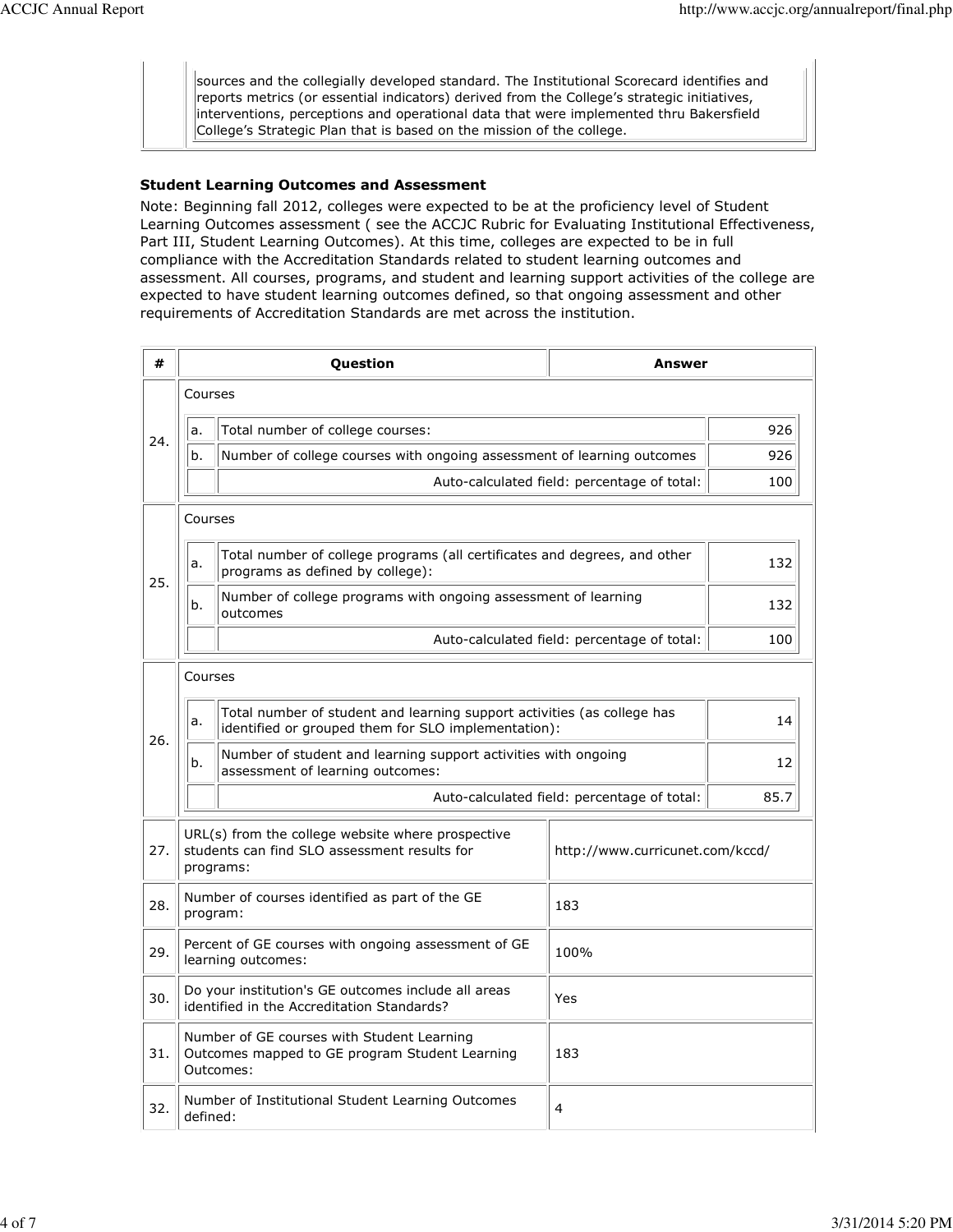sources and the collegially developed standard. The Institutional Scorecard identifies and reports metrics (or essential indicators) derived from the College's strategic initiatives, interventions, perceptions and operational data that were implemented thru Bakersfield College's Strategic Plan that is based on the mission of the college.

#### Student Learning Outcomes and Assessment

Note: Beginning fall 2012, colleges were expected to be at the proficiency level of Student Learning Outcomes assessment ( see the ACCJC Rubric for Evaluating Institutional Effectiveness, Part III, Student Learning Outcomes). At this time, colleges are expected to be in full compliance with the Accreditation Standards related to student learning outcomes and assessment. All courses, programs, and student and learning support activities of the college are expected to have student learning outcomes defined, so that ongoing assessment and other requirements of Accreditation Standards are met across the institution.

| #   | Question                                                                                                         |                                                                                                                                | Answer                                      |     |
|-----|------------------------------------------------------------------------------------------------------------------|--------------------------------------------------------------------------------------------------------------------------------|---------------------------------------------|-----|
| 24. | Courses                                                                                                          |                                                                                                                                |                                             |     |
|     | a.                                                                                                               | Total number of college courses:                                                                                               | 926                                         |     |
|     | b.                                                                                                               | Number of college courses with ongoing assessment of learning outcomes                                                         | 926                                         |     |
|     |                                                                                                                  | Auto-calculated field: percentage of total:                                                                                    | 100                                         |     |
| 25. | Courses                                                                                                          |                                                                                                                                |                                             |     |
|     | a.                                                                                                               | Total number of college programs (all certificates and degrees, and other<br>programs as defined by college):                  | 132                                         |     |
|     | b.                                                                                                               | Number of college programs with ongoing assessment of learning<br>outcomes                                                     | 132                                         |     |
|     |                                                                                                                  |                                                                                                                                | Auto-calculated field: percentage of total: | 100 |
|     |                                                                                                                  | Courses                                                                                                                        |                                             |     |
| 26. | a.                                                                                                               | Total number of student and learning support activities (as college has<br>identified or grouped them for SLO implementation): | 14                                          |     |
|     | b.                                                                                                               | Number of student and learning support activities with ongoing<br>assessment of learning outcomes:                             | 12                                          |     |
|     |                                                                                                                  | Auto-calculated field: percentage of total:                                                                                    |                                             |     |
| 27. | URL(s) from the college website where prospective<br>students can find SLO assessment results for<br>programs:   |                                                                                                                                | http://www.curricunet.com/kccd/             |     |
| 28. | Number of courses identified as part of the GE<br>program:                                                       |                                                                                                                                | 183                                         |     |
| 29. | Percent of GE courses with ongoing assessment of GE<br>100%<br>learning outcomes:                                |                                                                                                                                |                                             |     |
| 30. | Do your institution's GE outcomes include all areas<br>identified in the Accreditation Standards?                |                                                                                                                                | Yes                                         |     |
| 31. | Number of GE courses with Student Learning<br>Outcomes mapped to GE program Student Learning<br>183<br>Outcomes: |                                                                                                                                |                                             |     |
| 32. | Number of Institutional Student Learning Outcomes<br>4<br>defined:                                               |                                                                                                                                |                                             |     |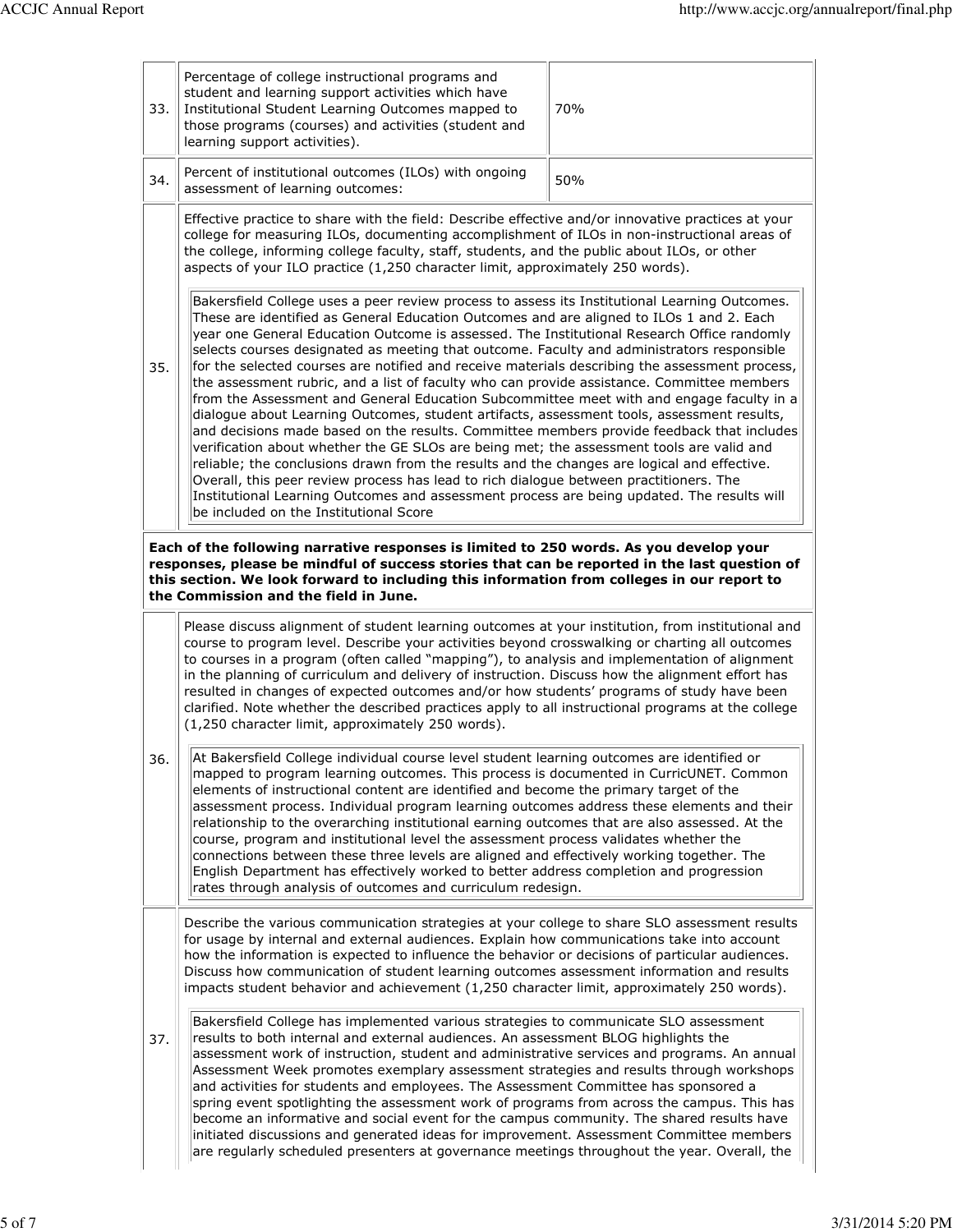| 33.                                                                                                                                                                                                                                                                                                                           | Percentage of college instructional programs and<br>student and learning support activities which have<br>Institutional Student Learning Outcomes mapped to<br>those programs (courses) and activities (student and<br>learning support activities).                                                                                                                                                                                                                                                                                                                                                                                                                                                                                                                                                                                                                                                                                                                                                                                                                                                                                                                                                                                                                                                                                                                                                                                                                                                                                                                                                                                                                                              | 70% |  |  |
|-------------------------------------------------------------------------------------------------------------------------------------------------------------------------------------------------------------------------------------------------------------------------------------------------------------------------------|---------------------------------------------------------------------------------------------------------------------------------------------------------------------------------------------------------------------------------------------------------------------------------------------------------------------------------------------------------------------------------------------------------------------------------------------------------------------------------------------------------------------------------------------------------------------------------------------------------------------------------------------------------------------------------------------------------------------------------------------------------------------------------------------------------------------------------------------------------------------------------------------------------------------------------------------------------------------------------------------------------------------------------------------------------------------------------------------------------------------------------------------------------------------------------------------------------------------------------------------------------------------------------------------------------------------------------------------------------------------------------------------------------------------------------------------------------------------------------------------------------------------------------------------------------------------------------------------------------------------------------------------------------------------------------------------------|-----|--|--|
| 34.                                                                                                                                                                                                                                                                                                                           | Percent of institutional outcomes (ILOs) with ongoing<br>assessment of learning outcomes:                                                                                                                                                                                                                                                                                                                                                                                                                                                                                                                                                                                                                                                                                                                                                                                                                                                                                                                                                                                                                                                                                                                                                                                                                                                                                                                                                                                                                                                                                                                                                                                                         | 50% |  |  |
| 35.                                                                                                                                                                                                                                                                                                                           | Effective practice to share with the field: Describe effective and/or innovative practices at your<br>college for measuring ILOs, documenting accomplishment of ILOs in non-instructional areas of<br>the college, informing college faculty, staff, students, and the public about ILOs, or other<br>aspects of your ILO practice (1,250 character limit, approximately 250 words).<br>Bakersfield College uses a peer review process to assess its Institutional Learning Outcomes.<br>These are identified as General Education Outcomes and are aligned to ILOs 1 and 2. Each<br>year one General Education Outcome is assessed. The Institutional Research Office randomly<br>selects courses designated as meeting that outcome. Faculty and administrators responsible<br>for the selected courses are notified and receive materials describing the assessment process,<br>the assessment rubric, and a list of faculty who can provide assistance. Committee members<br>from the Assessment and General Education Subcommittee meet with and engage faculty in a<br>dialogue about Learning Outcomes, student artifacts, assessment tools, assessment results,<br>and decisions made based on the results. Committee members provide feedback that includes<br>verification about whether the GE SLOs are being met; the assessment tools are valid and<br>reliable; the conclusions drawn from the results and the changes are logical and effective.<br>Overall, this peer review process has lead to rich dialogue between practitioners. The<br>Institutional Learning Outcomes and assessment process are being updated. The results will<br>be included on the Institutional Score |     |  |  |
| Each of the following narrative responses is limited to 250 words. As you develop your<br>responses, please be mindful of success stories that can be reported in the last question of<br>this section. We look forward to including this information from colleges in our report to<br>the Commission and the field in June. |                                                                                                                                                                                                                                                                                                                                                                                                                                                                                                                                                                                                                                                                                                                                                                                                                                                                                                                                                                                                                                                                                                                                                                                                                                                                                                                                                                                                                                                                                                                                                                                                                                                                                                   |     |  |  |
|                                                                                                                                                                                                                                                                                                                               | Please discuss alignment of student learning outcomes at your institution, from institutional and<br>course to program level. Describe your activities beyond crosswalking or charting all outcomes<br>to courses in a program (often called "mapping"), to analysis and implementation of alignment<br>in the planning of curriculum and delivery of instruction. Discuss how the alignment effort has<br>resulted in changes of expected outcomes and/or how students' programs of study have been<br>clarified. Note whether the described practices apply to all instructional programs at the college<br>(1,250 character limit, approximately 250 words).                                                                                                                                                                                                                                                                                                                                                                                                                                                                                                                                                                                                                                                                                                                                                                                                                                                                                                                                                                                                                                   |     |  |  |
| 36.                                                                                                                                                                                                                                                                                                                           | At Bakersfield College individual course level student learning outcomes are identified or<br>mapped to program learning outcomes. This process is documented in CurricUNET. Common<br>elements of instructional content are identified and become the primary target of the<br>assessment process. Individual program learning outcomes address these elements and their<br>relationship to the overarching institutional earning outcomes that are also assessed. At the<br>course, program and institutional level the assessment process validates whether the<br>connections between these three levels are aligned and effectively working together. The<br>English Department has effectively worked to better address completion and progression<br>rates through analysis of outcomes and curriculum redesign.                                                                                                                                                                                                                                                                                                                                                                                                                                                                                                                                                                                                                                                                                                                                                                                                                                                                           |     |  |  |
| 37.                                                                                                                                                                                                                                                                                                                           | Describe the various communication strategies at your college to share SLO assessment results<br>for usage by internal and external audiences. Explain how communications take into account<br>how the information is expected to influence the behavior or decisions of particular audiences.<br>Discuss how communication of student learning outcomes assessment information and results<br>impacts student behavior and achievement (1,250 character limit, approximately 250 words).                                                                                                                                                                                                                                                                                                                                                                                                                                                                                                                                                                                                                                                                                                                                                                                                                                                                                                                                                                                                                                                                                                                                                                                                         |     |  |  |
|                                                                                                                                                                                                                                                                                                                               | Bakersfield College has implemented various strategies to communicate SLO assessment<br>results to both internal and external audiences. An assessment BLOG highlights the<br>assessment work of instruction, student and administrative services and programs. An annual<br>Assessment Week promotes exemplary assessment strategies and results through workshops<br>and activities for students and employees. The Assessment Committee has sponsored a<br>spring event spotlighting the assessment work of programs from across the campus. This has<br>become an informative and social event for the campus community. The shared results have<br>initiated discussions and generated ideas for improvement. Assessment Committee members<br>are regularly scheduled presenters at governance meetings throughout the year. Overall, the                                                                                                                                                                                                                                                                                                                                                                                                                                                                                                                                                                                                                                                                                                                                                                                                                                                    |     |  |  |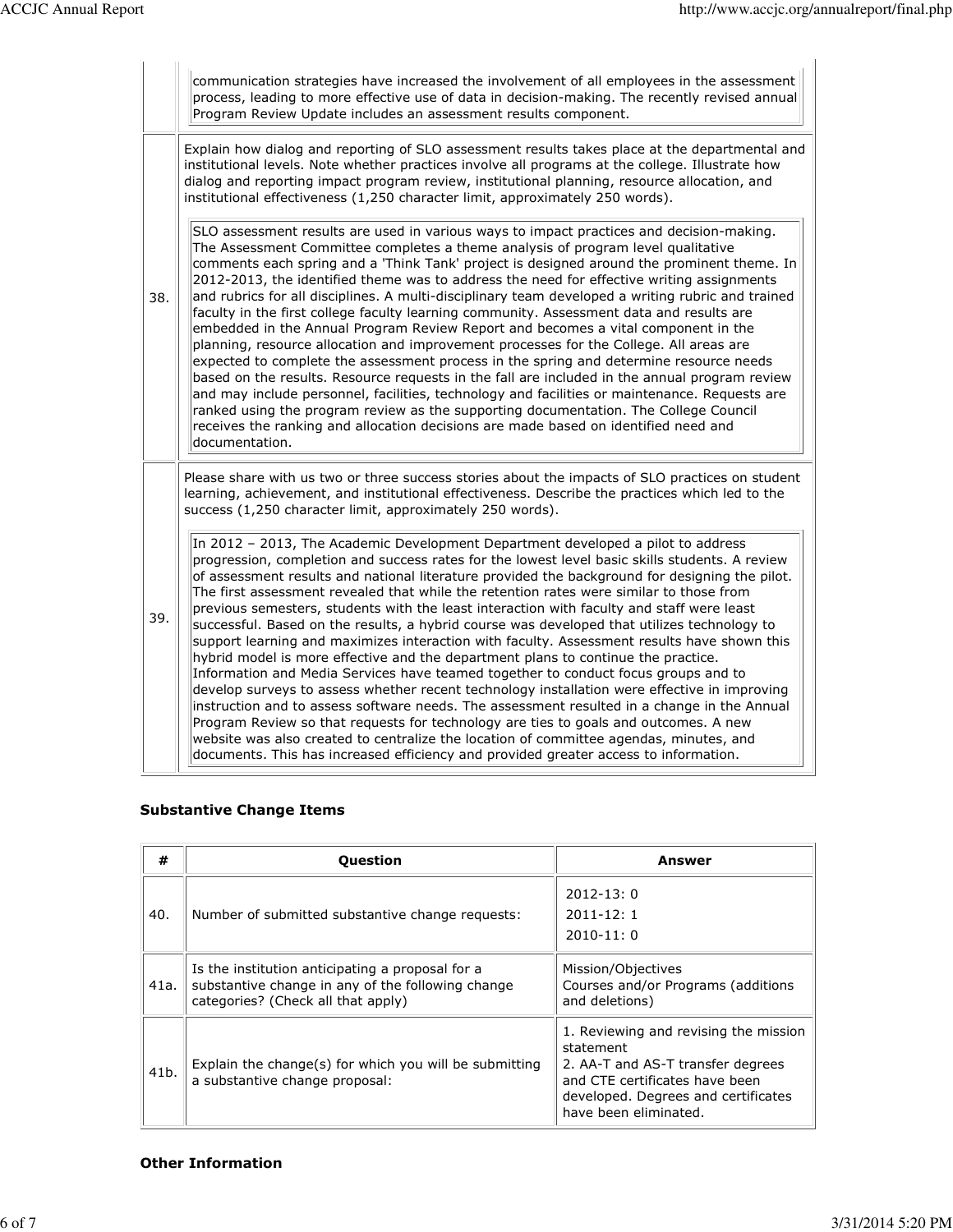|     | communication strategies have increased the involvement of all employees in the assessment<br>process, leading to more effective use of data in decision-making. The recently revised annual<br>Program Review Update includes an assessment results component.                                                                                                                                                                                                                                                                                                                                                                                                                                                                                                                                                                                                                                                                                                                                                                                                                                                                                                                                                                                                                                                                |
|-----|--------------------------------------------------------------------------------------------------------------------------------------------------------------------------------------------------------------------------------------------------------------------------------------------------------------------------------------------------------------------------------------------------------------------------------------------------------------------------------------------------------------------------------------------------------------------------------------------------------------------------------------------------------------------------------------------------------------------------------------------------------------------------------------------------------------------------------------------------------------------------------------------------------------------------------------------------------------------------------------------------------------------------------------------------------------------------------------------------------------------------------------------------------------------------------------------------------------------------------------------------------------------------------------------------------------------------------|
|     | Explain how dialog and reporting of SLO assessment results takes place at the departmental and<br>institutional levels. Note whether practices involve all programs at the college. Illustrate how<br>dialog and reporting impact program review, institutional planning, resource allocation, and<br>institutional effectiveness (1,250 character limit, approximately 250 words).                                                                                                                                                                                                                                                                                                                                                                                                                                                                                                                                                                                                                                                                                                                                                                                                                                                                                                                                            |
| 38. | SLO assessment results are used in various ways to impact practices and decision-making.<br>The Assessment Committee completes a theme analysis of program level qualitative<br>comments each spring and a 'Think Tank' project is designed around the prominent theme. In<br>2012-2013, the identified theme was to address the need for effective writing assignments<br>and rubrics for all disciplines. A multi-disciplinary team developed a writing rubric and trained<br>faculty in the first college faculty learning community. Assessment data and results are<br>embedded in the Annual Program Review Report and becomes a vital component in the<br>planning, resource allocation and improvement processes for the College. All areas are<br>expected to complete the assessment process in the spring and determine resource needs<br>based on the results. Resource requests in the fall are included in the annual program review<br>and may include personnel, facilities, technology and facilities or maintenance. Requests are<br>ranked using the program review as the supporting documentation. The College Council<br>receives the ranking and allocation decisions are made based on identified need and<br>documentation.                                                                           |
|     | Please share with us two or three success stories about the impacts of SLO practices on student<br>learning, achievement, and institutional effectiveness. Describe the practices which led to the<br>success (1,250 character limit, approximately 250 words).                                                                                                                                                                                                                                                                                                                                                                                                                                                                                                                                                                                                                                                                                                                                                                                                                                                                                                                                                                                                                                                                |
| 39. | In 2012 - 2013, The Academic Development Department developed a pilot to address<br>progression, completion and success rates for the lowest level basic skills students. A review<br>of assessment results and national literature provided the background for designing the pilot.<br>The first assessment revealed that while the retention rates were similar to those from<br>previous semesters, students with the least interaction with faculty and staff were least<br>successful. Based on the results, a hybrid course was developed that utilizes technology to<br>support learning and maximizes interaction with faculty. Assessment results have shown this<br>hybrid model is more effective and the department plans to continue the practice.<br>Information and Media Services have teamed together to conduct focus groups and to<br>develop surveys to assess whether recent technology installation were effective in improving<br>instruction and to assess software needs. The assessment resulted in a change in the Annual<br>Program Review so that requests for technology are ties to goals and outcomes. A new<br>website was also created to centralize the location of committee agendas, minutes, and<br>documents. This has increased efficiency and provided greater access to information. |

# Substantive Change Items

| #    | Question                                                                                                                                    | Answer                                                                                                                                                                                    |
|------|---------------------------------------------------------------------------------------------------------------------------------------------|-------------------------------------------------------------------------------------------------------------------------------------------------------------------------------------------|
| 40.  | Number of submitted substantive change requests:                                                                                            | $2012 - 13:0$<br>$2011 - 12:1$<br>$2010 - 11:0$                                                                                                                                           |
| 41a. | Is the institution anticipating a proposal for a<br>substantive change in any of the following change<br>categories? (Check all that apply) | Mission/Objectives<br>Courses and/or Programs (additions<br>and deletions)                                                                                                                |
| 41b. | Explain the change(s) for which you will be submitting<br>a substantive change proposal:                                                    | 1. Reviewing and revising the mission<br>statement<br>2. AA-T and AS-T transfer degrees<br>and CTE certificates have been<br>developed. Degrees and certificates<br>have been eliminated. |

#### Other Information